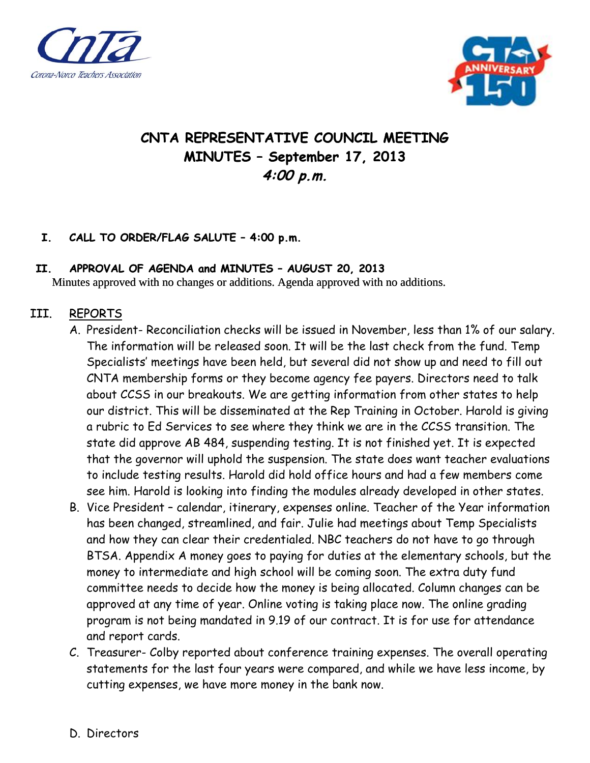



# **CNTA REPRESENTATIVE COUNCIL MEETING MINUTES – September 17, 2013 4:00 p.m.**

## **I. CALL TO ORDER/FLAG SALUTE – 4:00 p.m.**

#### **II. APPROVAL OF AGENDA and MINUTES – AUGUST 20, 2013**

Minutes approved with no changes or additions. Agenda approved with no additions.

## III. REPORTS

- A. President- Reconciliation checks will be issued in November, less than 1% of our salary. The information will be released soon. It will be the last check from the fund. Temp Specialists' meetings have been held, but several did not show up and need to fill out CNTA membership forms or they become agency fee payers. Directors need to talk about CCSS in our breakouts. We are getting information from other states to help our district. This will be disseminated at the Rep Training in October. Harold is giving a rubric to Ed Services to see where they think we are in the CCSS transition. The state did approve AB 484, suspending testing. It is not finished yet. It is expected that the governor will uphold the suspension. The state does want teacher evaluations to include testing results. Harold did hold office hours and had a few members come see him. Harold is looking into finding the modules already developed in other states.
- B. Vice President calendar, itinerary, expenses online. Teacher of the Year information has been changed, streamlined, and fair. Julie had meetings about Temp Specialists and how they can clear their credentialed. NBC teachers do not have to go through BTSA. Appendix A money goes to paying for duties at the elementary schools, but the money to intermediate and high school will be coming soon. The extra duty fund committee needs to decide how the money is being allocated. Column changes can be approved at any time of year. Online voting is taking place now. The online grading program is not being mandated in 9.19 of our contract. It is for use for attendance and report cards.
- C. Treasurer- Colby reported about conference training expenses. The overall operating statements for the last four years were compared, and while we have less income, by cutting expenses, we have more money in the bank now.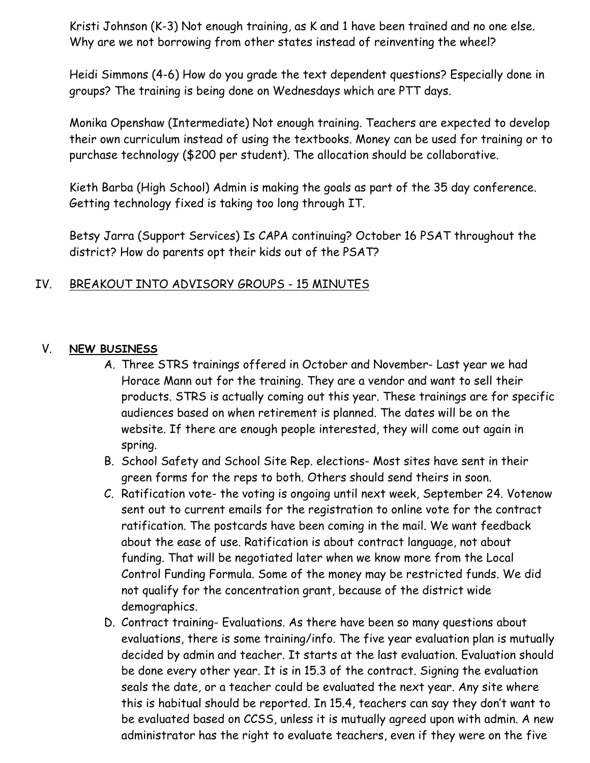Kristi Johnson (K-3) Not enough training, as K and 1 have been trained and no one else. Why are we not borrowing from other states instead of reinventing the wheel?

Heidi Simmons (4-6) How do you grade the text dependent questions? Especially done in groups? The training is being done on Wednesdays which are PTT days.

Monika Openshaw (Intermediate) Not enough training. Teachers are expected to develop their own curriculum instead of using the textbooks. Money can be used for training or to purchase technology (\$200 per student). The allocation should be collaborative.

Kieth Barba (High School) Admin is making the goals as part of the 35 day conference. Getting technology fixed is taking too long through IT.

Betsy Jarra (Support Services) Is CAPA continuing? October 16 PSAT throughout the district? How do parents opt their kids out of the PSAT?

# IV. BREAKOUT INTO ADVISORY GROUPS - 15 MINUTES

#### V. **NEW BUSINESS**

- A. Three STRS trainings offered in October and November- Last year we had Horace Mann out for the training. They are a vendor and want to sell their products. STRS is actually coming out this year. These trainings are for specific audiences based on when retirement is planned. The dates will be on the website. If there are enough people interested, they will come out again in spring.
- B. School Safety and School Site Rep. elections- Most sites have sent in their green forms for the reps to both. Others should send theirs in soon.
- C. Ratification vote- the voting is ongoing until next week, September 24. Votenow sent out to current emails for the registration to online vote for the contract ratification. The postcards have been coming in the mail. We want feedback about the ease of use. Ratification is about contract language, not about funding. That will be negotiated later when we know more from the Local Control Funding Formula. Some of the money may be restricted funds. We did not qualify for the concentration grant, because of the district wide demographics.
- D. Contract training- Evaluations. As there have been so many questions about evaluations, there is some training/info. The five year evaluation plan is mutually decided by admin and teacher. It starts at the last evaluation. Evaluation should be done every other year. It is in 15.3 of the contract. Signing the evaluation seals the date, or a teacher could be evaluated the next year. Any site where this is habitual should be reported. In 15.4, teachers can say they don't want to be evaluated based on CCSS, unless it is mutually agreed upon with admin. A new administrator has the right to evaluate teachers, even if they were on the five